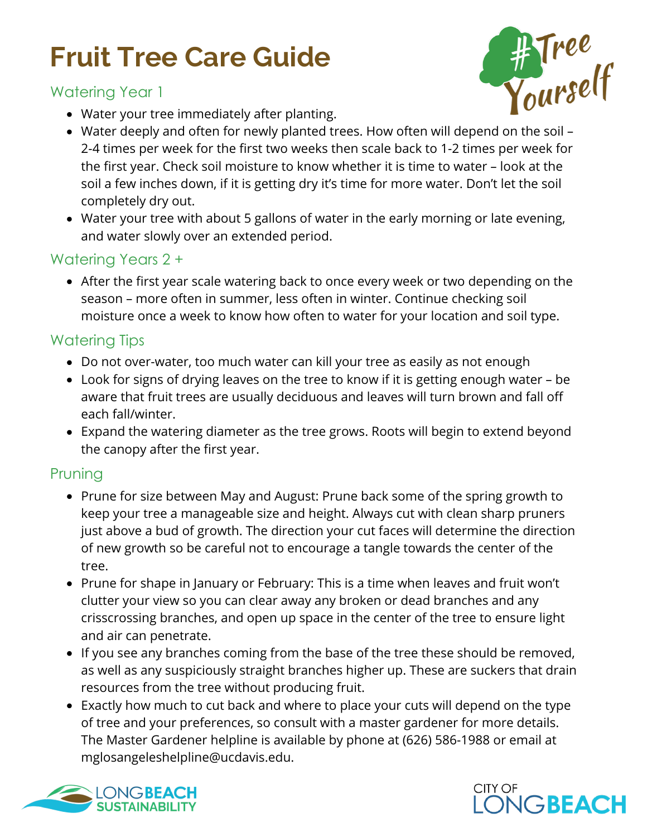## **Fruit Tree Care Guide**

#### Watering Year 1

Water your tree immediately after planting.

- **A Tree**<br>Yourself
- Water deeply and often for newly planted trees. How often will depend on the soil 2-4 times per week for the first two weeks then scale back to 1-2 times per week for the first year. Check soil moisture to know whether it is time to water – look at the soil a few inches down, if it is getting dry it's time for more water. Don't let the soil completely dry out.
- Water your tree with about 5 gallons of water in the early morning or late evening, and water slowly over an extended period.

### Watering Years 2 +

After the first year scale watering back to once every week or two depending on the season – more often in summer, less often in winter. Continue checking soil moisture once a week to know how often to water for your location and soil type.

### Watering Tips

- Do not over-water, too much water can kill your tree as easily as not enough
- Look for signs of drying leaves on the tree to know if it is getting enough water be aware that fruit trees are usually deciduous and leaves will turn brown and fall off each fall/winter.
- Expand the watering diameter as the tree grows. Roots will begin to extend beyond the canopy after the first year.

#### Pruning

- Prune for size between May and August: Prune back some of the spring growth to keep your tree a manageable size and height. Always cut with clean sharp pruners just above a bud of growth. The direction your cut faces will determine the direction of new growth so be careful not to encourage a tangle towards the center of the tree.
- Prune for shape in January or February: This is a time when leaves and fruit won't clutter your view so you can clear away any broken or dead branches and any crisscrossing branches, and open up space in the center of the tree to ensure light and air can penetrate.
- If you see any branches coming from the base of the tree these should be removed, as well as any suspiciously straight branches higher up. These are suckers that drain resources from the tree without producing fruit.
- Exactly how much to cut back and where to place your cuts will depend on the type of tree and your preferences, so consult with a master gardener for more details. The Master Gardener helpline is available by phone at (626) 586-1988 or email at mglosangeleshelpline@ucdavis.edu.